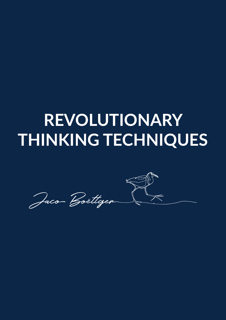## **REVOLUTIONARY THINKING TECHNIQUES**

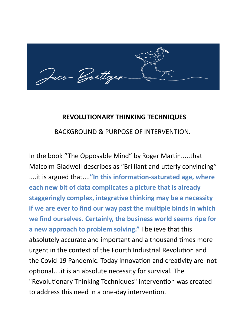- Boëttger

## **REVOLUTIONARY THINKING TECHNIQUES**

BACKGROUND & PURPOSE OF INTERVENTION.

In the book "The Opposable Mind" by Roger Martin.....that Malcolm Gladwell describes as "Brilliant and utterly convincing" ....it is argued that...."In this information-saturated age, where **each new bit of data complicates a picture that is already**  staggeringly complex, integrative thinking may be a necessity **if we are ever to find our way past the multiple binds in which we find ourselves. Certainly, the business world seems ripe for a new approach to problem solving."** I believe that this absolutely accurate and important and a thousand times more urgent in the context of the Fourth Industrial Revolution and the Covid-19 Pandemic. Today innovation and creativity are not optional....it is an absolute necessity for survival. The "Revolutionary Thinking Techniques" intervention was created to address this need in a one-day intervention.